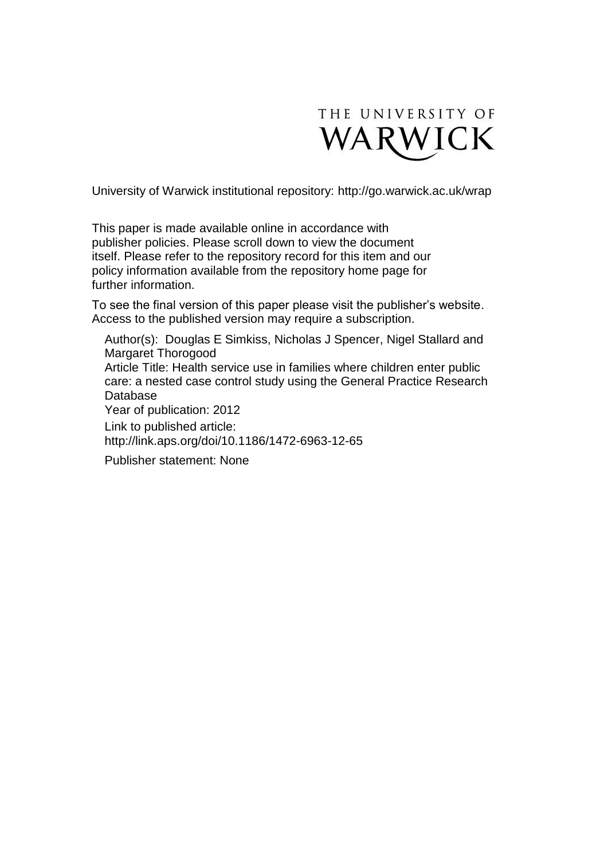

University of Warwick institutional repository:<http://go.warwick.ac.uk/wrap>

This paper is made available online in accordance with publisher policies. Please scroll down to view the document itself. Please refer to the repository record for this item and our policy information available from the repository home page for further information.

To see the final version of this paper please visit the publisher's website. Access to the published version may require a subscription.

Author(s): Douglas E Simkiss, Nicholas J Spencer, Nigel Stallard and Margaret Thorogood Article Title: Health service use in families where children enter public care: a nested case control study using the General Practice Research Database Year of publication: 2012 Link to published article: http://link.aps.org/doi/10.1186/1472-6963-12-65

Publisher statement: None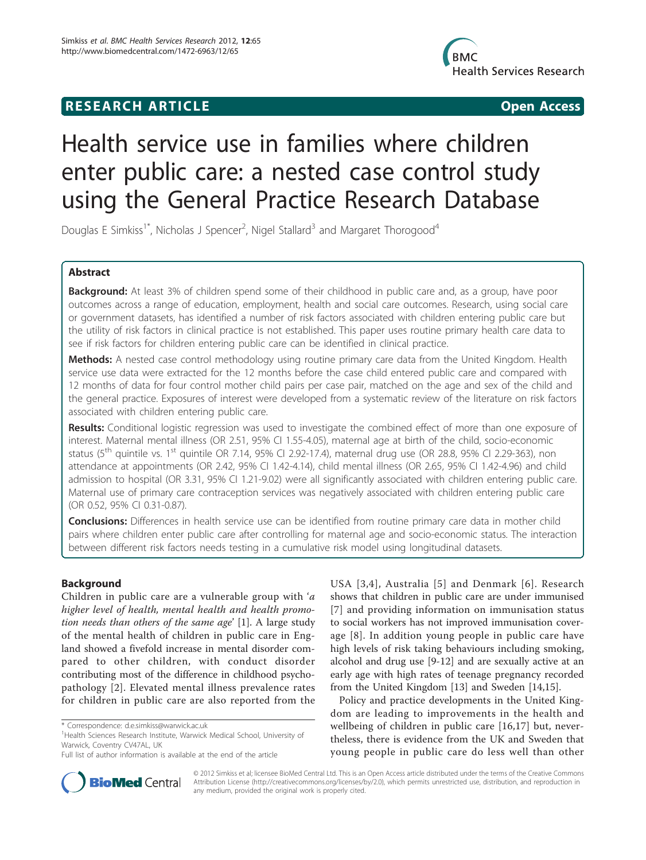# **RESEARCH ARTICLE Example 2018 12:00 Open Access**



# Health service use in families where children enter public care: a nested case control study using the General Practice Research Database

Douglas E Simkiss<sup>1\*</sup>, Nicholas J Spencer<sup>2</sup>, Nigel Stallard<sup>3</sup> and Margaret Thorogood<sup>4</sup>

# Abstract

**Background:** At least 3% of children spend some of their childhood in public care and, as a group, have poor outcomes across a range of education, employment, health and social care outcomes. Research, using social care or government datasets, has identified a number of risk factors associated with children entering public care but the utility of risk factors in clinical practice is not established. This paper uses routine primary health care data to see if risk factors for children entering public care can be identified in clinical practice.

Methods: A nested case control methodology using routine primary care data from the United Kingdom. Health service use data were extracted for the 12 months before the case child entered public care and compared with 12 months of data for four control mother child pairs per case pair, matched on the age and sex of the child and the general practice. Exposures of interest were developed from a systematic review of the literature on risk factors associated with children entering public care.

Results: Conditional logistic regression was used to investigate the combined effect of more than one exposure of interest. Maternal mental illness (OR 2.51, 95% CI 1.55-4.05), maternal age at birth of the child, socio-economic status (5<sup>th</sup> quintile vs. 1<sup>st</sup> quintile OR 7.14, 95% CI 2.92-17.4), maternal drug use (OR 28.8, 95% CI 2.29-363), non attendance at appointments (OR 2.42, 95% CI 1.42-4.14), child mental illness (OR 2.65, 95% CI 1.42-4.96) and child admission to hospital (OR 3.31, 95% CI 1.21-9.02) were all significantly associated with children entering public care. Maternal use of primary care contraception services was negatively associated with children entering public care (OR 0.52, 95% CI 0.31-0.87).

**Conclusions:** Differences in health service use can be identified from routine primary care data in mother child pairs where children enter public care after controlling for maternal age and socio-economic status. The interaction between different risk factors needs testing in a cumulative risk model using longitudinal datasets.

# Background

Children in public care are a vulnerable group with 'a higher level of health, mental health and health promotion needs than others of the same age' [\[1](#page-11-0)]. A large study of the mental health of children in public care in England showed a fivefold increase in mental disorder compared to other children, with conduct disorder contributing most of the difference in childhood psychopathology [\[2](#page-11-0)]. Elevated mental illness prevalence rates for children in public care are also reported from the

USA [[3,4\]](#page-11-0), Australia [[5\]](#page-11-0) and Denmark [[6](#page-11-0)]. Research shows that children in public care are under immunised [[7](#page-11-0)] and providing information on immunisation status to social workers has not improved immunisation coverage [[8](#page-11-0)]. In addition young people in public care have high levels of risk taking behaviours including smoking, alcohol and drug use [[9](#page-11-0)-[12\]](#page-11-0) and are sexually active at an early age with high rates of teenage pregnancy recorded from the United Kingdom [[13](#page-11-0)] and Sweden [[14](#page-11-0),[15](#page-12-0)].

Policy and practice developments in the United Kingdom are leading to improvements in the health and wellbeing of children in public care [[16,17](#page-12-0)] but, nevertheless, there is evidence from the UK and Sweden that young people in public care do less well than other



© 2012 Simkiss et al; licensee BioMed Central Ltd. This is an Open Access article distributed under the terms of the Creative Commons Attribution License [\(http://creativecommons.org/licenses/by/2.0](http://creativecommons.org/licenses/by/2.0)), which permits unrestricted use, distribution, and reproduction in any medium, provided the original work is properly cited.

<sup>\*</sup> Correspondence: [d.e.simkiss@warwick.ac.uk](mailto:d.e.simkiss@warwick.ac.uk)

<sup>&</sup>lt;sup>1</sup> Health Sciences Research Institute, Warwick Medical School, University of Warwick, Coventry CV47AL, UK

Full list of author information is available at the end of the article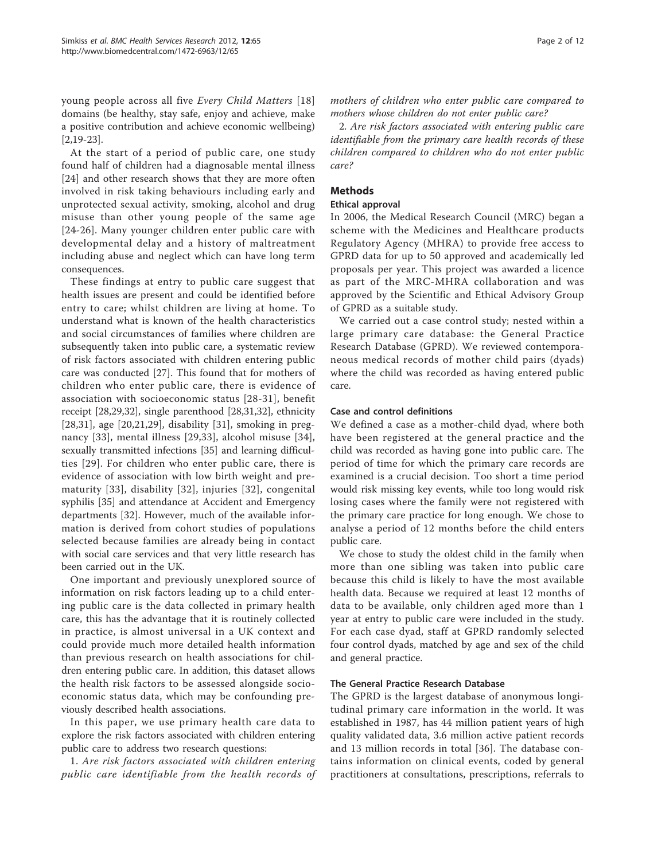young people across all five Every Child Matters [[18](#page-12-0)] domains (be healthy, stay safe, enjoy and achieve, make a positive contribution and achieve economic wellbeing) [[2,](#page-11-0)[19-23\]](#page-12-0).

At the start of a period of public care, one study found half of children had a diagnosable mental illness [[24\]](#page-12-0) and other research shows that they are more often involved in risk taking behaviours including early and unprotected sexual activity, smoking, alcohol and drug misuse than other young people of the same age [[24](#page-12-0)-[26](#page-12-0)]. Many younger children enter public care with developmental delay and a history of maltreatment including abuse and neglect which can have long term consequences.

These findings at entry to public care suggest that health issues are present and could be identified before entry to care; whilst children are living at home. To understand what is known of the health characteristics and social circumstances of families where children are subsequently taken into public care, a systematic review of risk factors associated with children entering public care was conducted [\[27\]](#page-12-0). This found that for mothers of children who enter public care, there is evidence of association with socioeconomic status [[28](#page-12-0)-[31](#page-12-0)], benefit receipt [[28,29,32](#page-12-0)], single parenthood [[28,31,32\]](#page-12-0), ethnicity [[28,31](#page-12-0)], age [[20,21,29](#page-12-0)], disability [\[31](#page-12-0)], smoking in pregnancy [\[33](#page-12-0)], mental illness [\[29](#page-12-0),[33\]](#page-12-0), alcohol misuse [[34](#page-12-0)], sexually transmitted infections [\[35\]](#page-12-0) and learning difficulties [[29](#page-12-0)]. For children who enter public care, there is evidence of association with low birth weight and prematurity [[33](#page-12-0)], disability [[32](#page-12-0)], injuries [[32](#page-12-0)], congenital syphilis [[35](#page-12-0)] and attendance at Accident and Emergency departments [\[32](#page-12-0)]. However, much of the available information is derived from cohort studies of populations selected because families are already being in contact with social care services and that very little research has been carried out in the UK.

One important and previously unexplored source of information on risk factors leading up to a child entering public care is the data collected in primary health care, this has the advantage that it is routinely collected in practice, is almost universal in a UK context and could provide much more detailed health information than previous research on health associations for children entering public care. In addition, this dataset allows the health risk factors to be assessed alongside socioeconomic status data, which may be confounding previously described health associations.

In this paper, we use primary health care data to explore the risk factors associated with children entering public care to address two research questions:

1. Are risk factors associated with children entering public care identifiable from the health records of mothers of children who enter public care compared to mothers whose children do not enter public care?

2. Are risk factors associated with entering public care identifiable from the primary care health records of these children compared to children who do not enter public care?

# Methods

#### Ethical approval

In 2006, the Medical Research Council (MRC) began a scheme with the Medicines and Healthcare products Regulatory Agency (MHRA) to provide free access to GPRD data for up to 50 approved and academically led proposals per year. This project was awarded a licence as part of the MRC-MHRA collaboration and was approved by the Scientific and Ethical Advisory Group of GPRD as a suitable study.

We carried out a case control study; nested within a large primary care database: the General Practice Research Database (GPRD). We reviewed contemporaneous medical records of mother child pairs (dyads) where the child was recorded as having entered public care.

## Case and control definitions

We defined a case as a mother-child dyad, where both have been registered at the general practice and the child was recorded as having gone into public care. The period of time for which the primary care records are examined is a crucial decision. Too short a time period would risk missing key events, while too long would risk losing cases where the family were not registered with the primary care practice for long enough. We chose to analyse a period of 12 months before the child enters public care.

We chose to study the oldest child in the family when more than one sibling was taken into public care because this child is likely to have the most available health data. Because we required at least 12 months of data to be available, only children aged more than 1 year at entry to public care were included in the study. For each case dyad, staff at GPRD randomly selected four control dyads, matched by age and sex of the child and general practice.

# The General Practice Research Database

The GPRD is the largest database of anonymous longitudinal primary care information in the world. It was established in 1987, has 44 million patient years of high quality validated data, 3.6 million active patient records and 13 million records in total [[36\]](#page-12-0). The database contains information on clinical events, coded by general practitioners at consultations, prescriptions, referrals to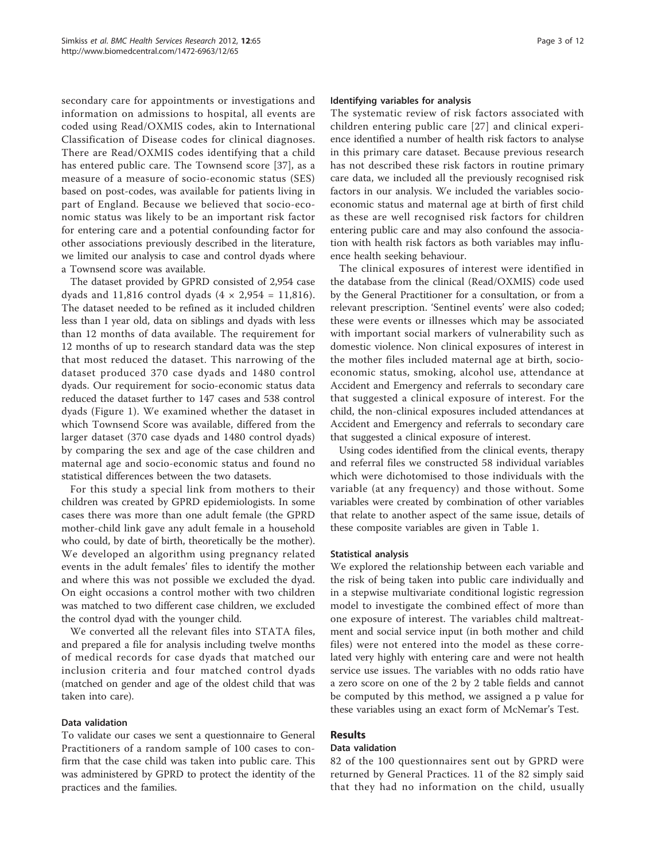secondary care for appointments or investigations and information on admissions to hospital, all events are coded using Read/OXMIS codes, akin to International Classification of Disease codes for clinical diagnoses. There are Read/OXMIS codes identifying that a child has entered public care. The Townsend score [[37\]](#page-12-0), as a measure of a measure of socio-economic status (SES) based on post-codes, was available for patients living in part of England. Because we believed that socio-economic status was likely to be an important risk factor for entering care and a potential confounding factor for other associations previously described in the literature, we limited our analysis to case and control dyads where a Townsend score was available.

The dataset provided by GPRD consisted of 2,954 case dyads and 11,816 control dyads  $(4 \times 2.954 = 11,816)$ . The dataset needed to be refined as it included children less than I year old, data on siblings and dyads with less than 12 months of data available. The requirement for 12 months of up to research standard data was the step that most reduced the dataset. This narrowing of the dataset produced 370 case dyads and 1480 control dyads. Our requirement for socio-economic status data reduced the dataset further to 147 cases and 538 control dyads (Figure [1\)](#page-4-0). We examined whether the dataset in which Townsend Score was available, differed from the larger dataset (370 case dyads and 1480 control dyads) by comparing the sex and age of the case children and maternal age and socio-economic status and found no statistical differences between the two datasets.

For this study a special link from mothers to their children was created by GPRD epidemiologists. In some cases there was more than one adult female (the GPRD mother-child link gave any adult female in a household who could, by date of birth, theoretically be the mother). We developed an algorithm using pregnancy related events in the adult females' files to identify the mother and where this was not possible we excluded the dyad. On eight occasions a control mother with two children was matched to two different case children, we excluded the control dyad with the younger child.

We converted all the relevant files into STATA files, and prepared a file for analysis including twelve months of medical records for case dyads that matched our inclusion criteria and four matched control dyads (matched on gender and age of the oldest child that was taken into care).

#### Data validation

To validate our cases we sent a questionnaire to General Practitioners of a random sample of 100 cases to confirm that the case child was taken into public care. This was administered by GPRD to protect the identity of the practices and the families.

#### Identifying variables for analysis

The systematic review of risk factors associated with children entering public care [[27](#page-12-0)] and clinical experience identified a number of health risk factors to analyse in this primary care dataset. Because previous research has not described these risk factors in routine primary care data, we included all the previously recognised risk factors in our analysis. We included the variables socioeconomic status and maternal age at birth of first child as these are well recognised risk factors for children entering public care and may also confound the association with health risk factors as both variables may influence health seeking behaviour.

The clinical exposures of interest were identified in the database from the clinical (Read/OXMIS) code used by the General Practitioner for a consultation, or from a relevant prescription. 'Sentinel events' were also coded; these were events or illnesses which may be associated with important social markers of vulnerability such as domestic violence. Non clinical exposures of interest in the mother files included maternal age at birth, socioeconomic status, smoking, alcohol use, attendance at Accident and Emergency and referrals to secondary care that suggested a clinical exposure of interest. For the child, the non-clinical exposures included attendances at Accident and Emergency and referrals to secondary care that suggested a clinical exposure of interest.

Using codes identified from the clinical events, therapy and referral files we constructed 58 individual variables which were dichotomised to those individuals with the variable (at any frequency) and those without. Some variables were created by combination of other variables that relate to another aspect of the same issue, details of these composite variables are given in Table [1.](#page-5-0)

#### Statistical analysis

We explored the relationship between each variable and the risk of being taken into public care individually and in a stepwise multivariate conditional logistic regression model to investigate the combined effect of more than one exposure of interest. The variables child maltreatment and social service input (in both mother and child files) were not entered into the model as these correlated very highly with entering care and were not health service use issues. The variables with no odds ratio have a zero score on one of the 2 by 2 table fields and cannot be computed by this method, we assigned a p value for these variables using an exact form of McNemar's Test.

#### Results

#### Data validation

82 of the 100 questionnaires sent out by GPRD were returned by General Practices. 11 of the 82 simply said that they had no information on the child, usually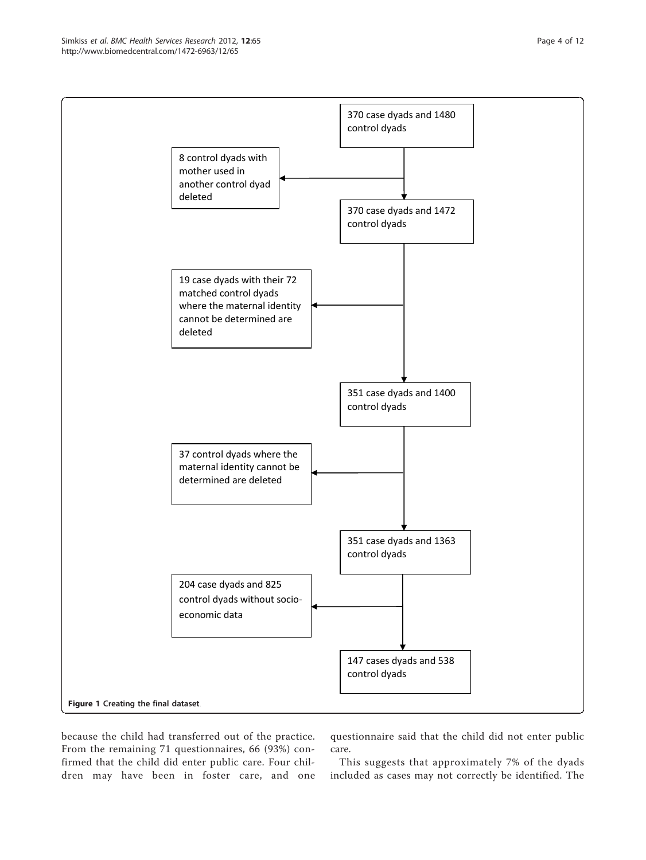<span id="page-4-0"></span>

because the child had transferred out of the practice. From the remaining 71 questionnaires, 66 (93%) confirmed that the child did enter public care. Four children may have been in foster care, and one

questionnaire said that the child did not enter public care.

This suggests that approximately 7% of the dyads included as cases may not correctly be identified. The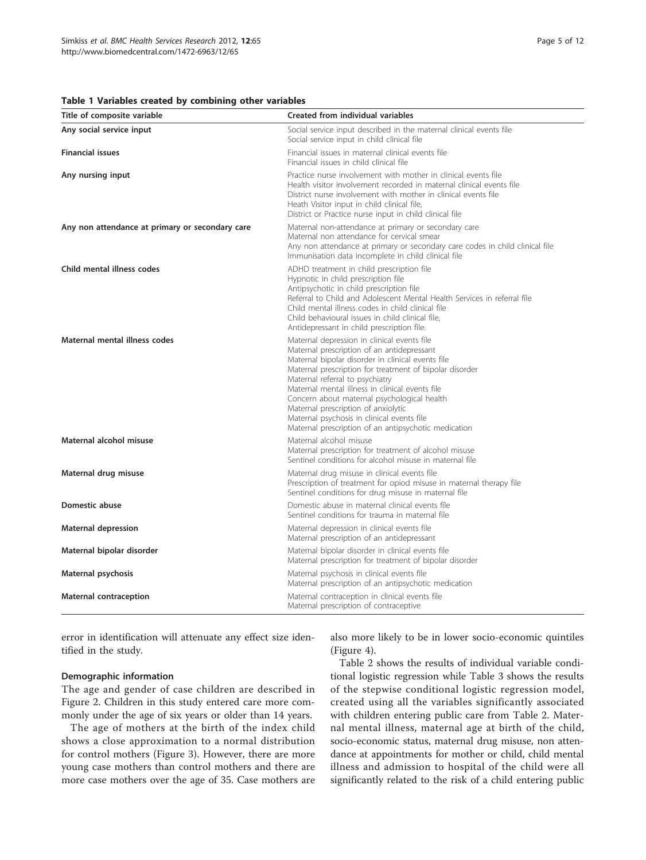<span id="page-5-0"></span>

|  |  |  |  |  | Table 1 Variables created by combining other variables |  |  |
|--|--|--|--|--|--------------------------------------------------------|--|--|
|--|--|--|--|--|--------------------------------------------------------|--|--|

| Title of composite variable                     | Created from individual variables                                                                                                                                                                                                                                                                                                                                                                                                                                                           |
|-------------------------------------------------|---------------------------------------------------------------------------------------------------------------------------------------------------------------------------------------------------------------------------------------------------------------------------------------------------------------------------------------------------------------------------------------------------------------------------------------------------------------------------------------------|
| Any social service input                        | Social service input described in the maternal clinical events file<br>Social service input in child clinical file                                                                                                                                                                                                                                                                                                                                                                          |
| <b>Financial issues</b>                         | Financial issues in maternal clinical events file<br>Financial issues in child clinical file                                                                                                                                                                                                                                                                                                                                                                                                |
| Any nursing input                               | Practice nurse involvement with mother in clinical events file<br>Health visitor involvement recorded in maternal clinical events file<br>District nurse involvement with mother in clinical events file<br>Heath Visitor input in child clinical file,<br>District or Practice nurse input in child clinical file                                                                                                                                                                          |
| Any non attendance at primary or secondary care | Maternal non-attendance at primary or secondary care<br>Maternal non attendance for cervical smear<br>Any non attendance at primary or secondary care codes in child clinical file<br>Immunisation data incomplete in child clinical file                                                                                                                                                                                                                                                   |
| Child mental illness codes                      | ADHD treatment in child prescription file<br>Hypnotic in child prescription file<br>Antipsychotic in child prescription file<br>Referral to Child and Adolescent Mental Health Services in referral file<br>Child mental illness codes in child clinical file<br>Child behavioural issues in child clinical file,<br>Antidepressant in child prescription file.                                                                                                                             |
| Maternal mental illness codes                   | Maternal depression in clinical events file<br>Maternal prescription of an antidepressant<br>Maternal bipolar disorder in clinical events file<br>Maternal prescription for treatment of bipolar disorder<br>Maternal referral to psychiatry<br>Maternal mental illness in clinical events file<br>Concern about maternal psychological health<br>Maternal prescription of anxiolytic<br>Maternal psychosis in clinical events file<br>Maternal prescription of an antipsychotic medication |
| Maternal alcohol misuse                         | Maternal alcohol misuse<br>Maternal prescription for treatment of alcohol misuse<br>Sentinel conditions for alcohol misuse in maternal file                                                                                                                                                                                                                                                                                                                                                 |
| Maternal drug misuse                            | Maternal drug misuse in clinical events file<br>Prescription of treatment for opiod misuse in maternal therapy file<br>Sentinel conditions for drug misuse in maternal file                                                                                                                                                                                                                                                                                                                 |
| Domestic abuse                                  | Domestic abuse in maternal clinical events file<br>Sentinel conditions for trauma in maternal file                                                                                                                                                                                                                                                                                                                                                                                          |
| <b>Maternal depression</b>                      | Maternal depression in clinical events file<br>Maternal prescription of an antidepressant                                                                                                                                                                                                                                                                                                                                                                                                   |
| Maternal bipolar disorder                       | Maternal bipolar disorder in clinical events file<br>Maternal prescription for treatment of bipolar disorder                                                                                                                                                                                                                                                                                                                                                                                |
| Maternal psychosis                              | Maternal psychosis in clinical events file<br>Maternal prescription of an antipsychotic medication                                                                                                                                                                                                                                                                                                                                                                                          |
| <b>Maternal contraception</b>                   | Maternal contraception in clinical events file<br>Maternal prescription of contraceptive                                                                                                                                                                                                                                                                                                                                                                                                    |

error in identification will attenuate any effect size identified in the study.

#### Demographic information

The age and gender of case children are described in Figure [2.](#page-6-0) Children in this study entered care more commonly under the age of six years or older than 14 years.

The age of mothers at the birth of the index child shows a close approximation to a normal distribution for control mothers (Figure [3\)](#page-6-0). However, there are more young case mothers than control mothers and there are more case mothers over the age of 35. Case mothers are

also more likely to be in lower socio-economic quintiles (Figure [4\)](#page-7-0).

Table [2](#page-8-0) shows the results of individual variable conditional logistic regression while Table [3](#page-9-0) shows the results of the stepwise conditional logistic regression model, created using all the variables significantly associated with children entering public care from Table [2.](#page-8-0) Maternal mental illness, maternal age at birth of the child, socio-economic status, maternal drug misuse, non attendance at appointments for mother or child, child mental illness and admission to hospital of the child were all significantly related to the risk of a child entering public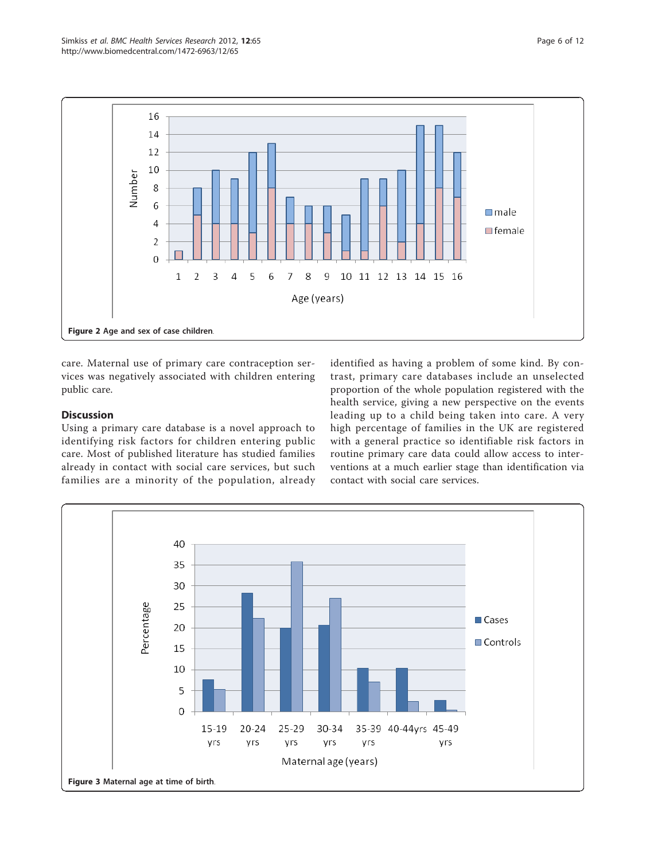<span id="page-6-0"></span>

care. Maternal use of primary care contraception services was negatively associated with children entering public care.

# **Discussion**

Using a primary care database is a novel approach to identifying risk factors for children entering public care. Most of published literature has studied families already in contact with social care services, but such families are a minority of the population, already identified as having a problem of some kind. By contrast, primary care databases include an unselected proportion of the whole population registered with the health service, giving a new perspective on the events leading up to a child being taken into care. A very high percentage of families in the UK are registered with a general practice so identifiable risk factors in routine primary care data could allow access to interventions at a much earlier stage than identification via contact with social care services.

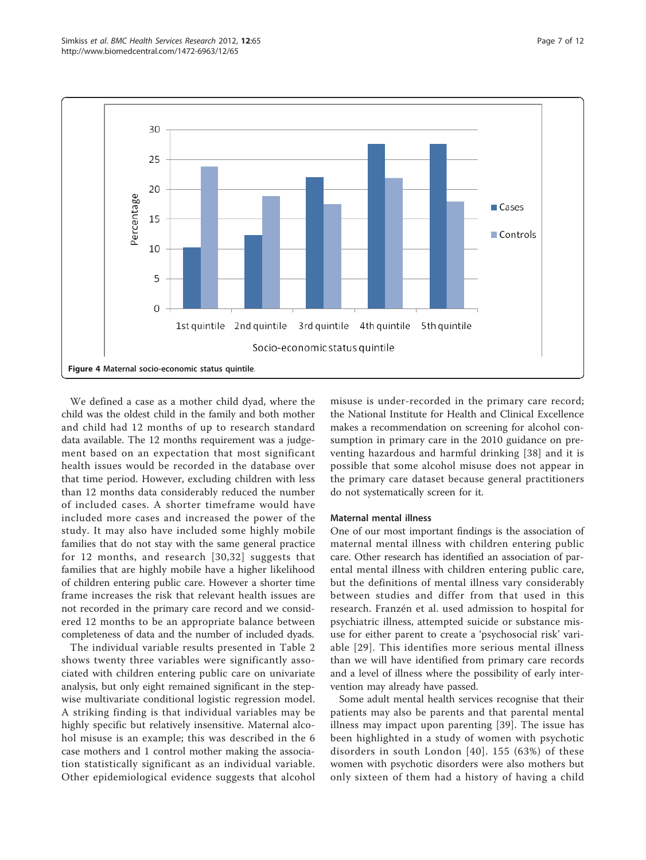<span id="page-7-0"></span>

We defined a case as a mother child dyad, where the child was the oldest child in the family and both mother and child had 12 months of up to research standard data available. The 12 months requirement was a judgement based on an expectation that most significant health issues would be recorded in the database over that time period. However, excluding children with less than 12 months data considerably reduced the number of included cases. A shorter timeframe would have included more cases and increased the power of the study. It may also have included some highly mobile families that do not stay with the same general practice for 12 months, and research [\[30](#page-12-0),[32\]](#page-12-0) suggests that families that are highly mobile have a higher likelihood of children entering public care. However a shorter time frame increases the risk that relevant health issues are not recorded in the primary care record and we considered 12 months to be an appropriate balance between completeness of data and the number of included dyads.

The individual variable results presented in Table [2](#page-8-0) shows twenty three variables were significantly associated with children entering public care on univariate analysis, but only eight remained significant in the stepwise multivariate conditional logistic regression model. A striking finding is that individual variables may be highly specific but relatively insensitive. Maternal alcohol misuse is an example; this was described in the 6 case mothers and 1 control mother making the association statistically significant as an individual variable. Other epidemiological evidence suggests that alcohol

misuse is under-recorded in the primary care record; the National Institute for Health and Clinical Excellence makes a recommendation on screening for alcohol consumption in primary care in the 2010 guidance on preventing hazardous and harmful drinking [[38](#page-12-0)] and it is possible that some alcohol misuse does not appear in the primary care dataset because general practitioners do not systematically screen for it.

#### Maternal mental illness

One of our most important findings is the association of maternal mental illness with children entering public care. Other research has identified an association of parental mental illness with children entering public care, but the definitions of mental illness vary considerably between studies and differ from that used in this research. Franzén et al. used admission to hospital for psychiatric illness, attempted suicide or substance misuse for either parent to create a 'psychosocial risk' variable [[29](#page-12-0)]. This identifies more serious mental illness than we will have identified from primary care records and a level of illness where the possibility of early intervention may already have passed.

Some adult mental health services recognise that their patients may also be parents and that parental mental illness may impact upon parenting [[39](#page-12-0)]. The issue has been highlighted in a study of women with psychotic disorders in south London [[40](#page-12-0)]. 155 (63%) of these women with psychotic disorders were also mothers but only sixteen of them had a history of having a child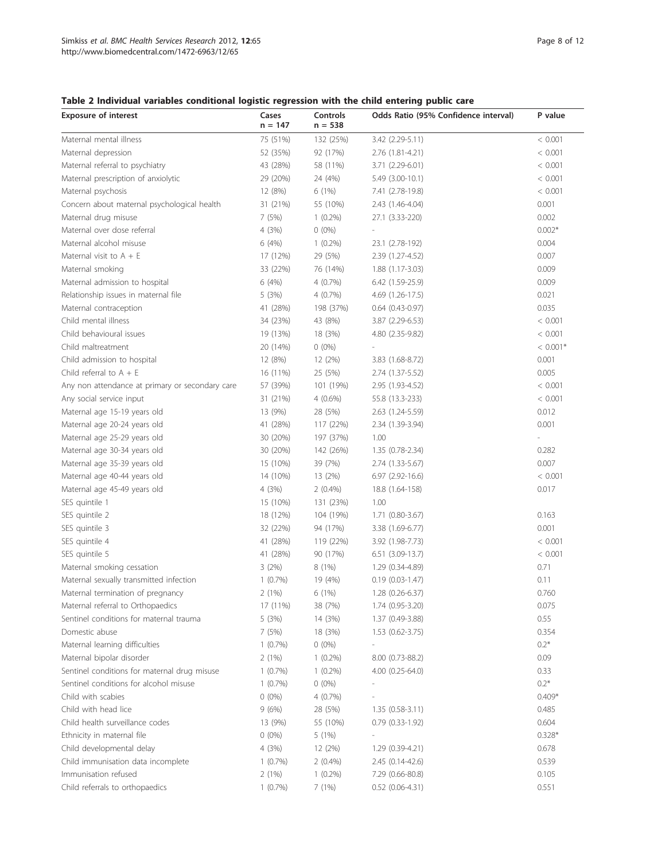<span id="page-8-0"></span>

|  | Table 2 Individual variables conditional logistic regression with the child entering public care |  |  |
|--|--------------------------------------------------------------------------------------------------|--|--|
|--|--------------------------------------------------------------------------------------------------|--|--|

| ב וושריהשמה ימותמוכז כסוומתוסומה וסקוזמוכ וכקוכזזוטה וחומר כוווט כווכרוווק פ<br><b>Exposure of interest</b> | Cases      | Controls   | Odds Ratio (95% Confidence interval) | P value    |
|-------------------------------------------------------------------------------------------------------------|------------|------------|--------------------------------------|------------|
|                                                                                                             | $n = 147$  | $n = 538$  |                                      |            |
| Maternal mental illness                                                                                     | 75 (51%)   | 132 (25%)  | 3.42 (2.29-5.11)                     | < 0.001    |
| Maternal depression                                                                                         | 52 (35%)   | 92 (17%)   | 2.76 (1.81-4.21)                     | < 0.001    |
| Maternal referral to psychiatry                                                                             | 43 (28%)   | 58 (11%)   | 3.71 (2.29-6.01)                     | < 0.001    |
| Maternal prescription of anxiolytic                                                                         | 29 (20%)   | 24 (4%)    | 5.49 (3.00-10.1)                     | < 0.001    |
| Maternal psychosis                                                                                          | 12 (8%)    | 6(1%)      | 7.41 (2.78-19.8)                     | < 0.001    |
| Concern about maternal psychological health                                                                 | 31 (21%)   | 55 (10%)   | 2.43 (1.46-4.04)                     | 0.001      |
| Maternal drug misuse                                                                                        | 7 (5%)     | $1(0.2\%)$ | 27.1 (3.33-220)                      | 0.002      |
| Maternal over dose referral                                                                                 | 4 (3%)     | $0(0\%)$   |                                      | $0.002*$   |
| Maternal alcohol misuse                                                                                     | 6 (4%)     | $1(0.2\%)$ | 23.1 (2.78-192)                      | 0.004      |
| Maternal visit to $A + E$                                                                                   | 17 (12%)   | 29 (5%)    | 2.39 (1.27-4.52)                     | 0.007      |
| Maternal smoking                                                                                            | 33 (22%)   | 76 (14%)   | 1.88 (1.17-3.03)                     | 0.009      |
| Maternal admission to hospital                                                                              | 6 (4%)     | $4(0.7\%)$ | 6.42 (1.59-25.9)                     | 0.009      |
| Relationship issues in maternal file                                                                        | 5(3%)      | 4(0.7%)    | 4.69 (1.26-17.5)                     | 0.021      |
| Maternal contraception                                                                                      | 41 (28%)   | 198 (37%)  | $0.64$ $(0.43 - 0.97)$               | 0.035      |
| Child mental illness                                                                                        | 34 (23%)   | 43 (8%)    | 3.87 (2.29-6.53)                     | < 0.001    |
| Child behavioural issues                                                                                    | 19 (13%)   | 18 (3%)    | 4.80 (2.35-9.82)                     | < 0.001    |
| Child maltreatment                                                                                          | 20 (14%)   | $0(0\%)$   |                                      | $< 0.001*$ |
| Child admission to hospital                                                                                 | 12 (8%)    | 12 (2%)    | 3.83 (1.68-8.72)                     | 0.001      |
| Child referral to $A + E$                                                                                   | 16 (11%)   | 25 (5%)    | 2.74 (1.37-5.52)                     | 0.005      |
| Any non attendance at primary or secondary care                                                             | 57 (39%)   | 101 (19%)  | 2.95 (1.93-4.52)                     | < 0.001    |
| Any social service input                                                                                    | 31 (21%)   | $4(0.6\%)$ | 55.8 (13.3-233)                      | < 0.001    |
| Maternal age 15-19 years old                                                                                | 13 (9%)    | 28 (5%)    | 2.63 (1.24-5.59)                     | 0.012      |
| Maternal age 20-24 years old                                                                                | 41 (28%)   | 117 (22%)  | 2.34 (1.39-3.94)                     | 0.001      |
| Maternal age 25-29 years old                                                                                | 30 (20%)   | 197 (37%)  | 1.00                                 |            |
| Maternal age 30-34 years old                                                                                | 30 (20%)   | 142 (26%)  | 1.35 (0.78-2.34)                     | 0.282      |
| Maternal age 35-39 years old                                                                                | 15 (10%)   | 39 (7%)    | 2.74 (1.33-5.67)                     | 0.007      |
| Maternal age 40-44 years old                                                                                | 14 (10%)   | 13 (2%)    | $6.97$ $(2.92 - 16.6)$               | < 0.001    |
| Maternal age 45-49 years old                                                                                | 4 (3%)     | $2(0.4\%)$ | 18.8 (1.64-158)                      | 0.017      |
|                                                                                                             |            |            | 1.00                                 |            |
| SES quintile 1                                                                                              | 15 (10%)   | 131 (23%)  |                                      |            |
| SES quintile 2                                                                                              | 18 (12%)   | 104 (19%)  | 1.71 (0.80-3.67)                     | 0.163      |
| SES quintile 3                                                                                              | 32 (22%)   | 94 (17%)   | 3.38 (1.69-6.77)                     | 0.001      |
| SES quintile 4                                                                                              | 41 (28%)   | 119 (22%)  | 3.92 (1.98-7.73)                     | < 0.001    |
| SES quintile 5                                                                                              | 41 (28%)   | 90 (17%)   | 6.51 (3.09-13.7)                     | < 0.001    |
| Maternal smoking cessation                                                                                  | 3(2%)      | 8(1%)      | 1.29 (0.34-4.89)                     | 0.71       |
| Maternal sexually transmitted infection                                                                     | $1(0.7\%)$ | 19 (4%)    | $0.19(0.03 - 1.47)$                  | 0.11       |
| Maternal termination of pregnancy                                                                           | 2(1%)      | 6 (1%)     | 1.28 (0.26-6.37)                     | 0.760      |
| Maternal referral to Orthopaedics                                                                           | 17 (11%)   | 38 (7%)    | 1.74 (0.95-3.20)                     | 0.075      |
| Sentinel conditions for maternal trauma                                                                     | 5(3%)      | 14 (3%)    | 1.37 (0.49-3.88)                     | 0.55       |
| Domestic abuse                                                                                              | 7(5%)      | 18 (3%)    | $1.53(0.62 - 3.75)$                  | 0.354      |
| Maternal learning difficulties                                                                              | $1(0.7\%)$ | $0(0\%)$   |                                      | $0.2*$     |
| Maternal bipolar disorder                                                                                   | 2(1%)      | $1(0.2\%)$ | 8.00 (0.73-88.2)                     | 0.09       |
| Sentinel conditions for maternal drug misuse                                                                | $1(0.7\%)$ | $1(0.2\%)$ | $4.00$ $(0.25 - 64.0)$               | 0.33       |
| Sentinel conditions for alcohol misuse                                                                      | $1(0.7\%)$ | $0(0\%)$   |                                      | $0.2*$     |
| Child with scabies                                                                                          | $0(0\%)$   | 4(0.7%)    |                                      | $0.409*$   |
| Child with head lice                                                                                        | 9(6%)      | 28 (5%)    | $1.35(0.58-3.11)$                    | 0.485      |
| Child health surveillance codes                                                                             | 13 (9%)    | 55 (10%)   | $0.79(0.33-1.92)$                    | 0.604      |
| Ethnicity in maternal file                                                                                  | $0(0\%)$   | 5(1%)      |                                      | $0.328*$   |
| Child developmental delay                                                                                   | 4 (3%)     | 12 (2%)    | 1.29 (0.39-4.21)                     | 0.678      |
| Child immunisation data incomplete                                                                          | $1(0.7\%)$ | $2(0.4\%)$ | 2.45 (0.14-42.6)                     | 0.539      |
| Immunisation refused                                                                                        | 2(1%)      | $1(0.2\%)$ | 7.29 (0.66-80.8)                     | 0.105      |
| Child referrals to orthopaedics                                                                             | $1(0.7\%)$ | 7 (1%)     | $0.52$ (0.06-4.31)                   | 0.551      |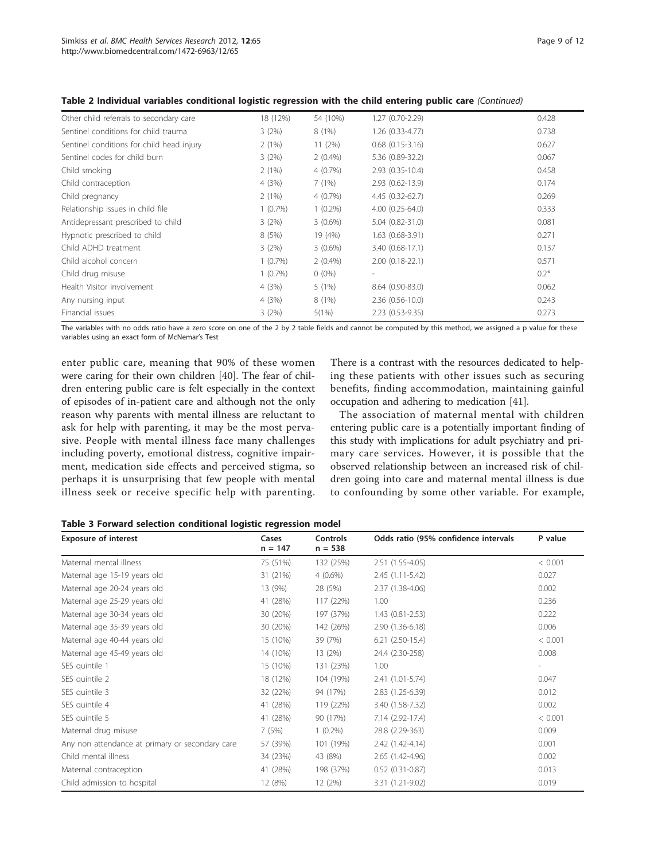| Other child referrals to secondary care   | 18 (12%)   | 54 (10%)   | 1.27 (0.70-2.29)         | 0.428  |
|-------------------------------------------|------------|------------|--------------------------|--------|
| Sentinel conditions for child trauma      | 3(2%)      | 8(1%)      | 1.26 (0.33-4.77)         | 0.738  |
| Sentinel conditions for child head injury | 2(1%)      | 11(2%)     | $0.68$ $(0.15 - 3.16)$   | 0.627  |
| Sentinel codes for child burn             | 3(2%)      | $2(0.4\%)$ | 5.36 (0.89-32.2)         | 0.067  |
| Child smoking                             | 2(1%)      | $4(0.7\%)$ | 2.93 (0.35-10.4)         | 0.458  |
| Child contraception                       | 4(3%)      | 7(1%)      | 2.93 (0.62-13.9)         | 0.174  |
| Child pregnancy                           | 2(1%)      | 4(0.7%)    | 4.45 (0.32-62.7)         | 0.269  |
| Relationship issues in child file         | $1(0.7\%)$ | $1(0.2\%)$ | $4.00(0.25 - 64.0)$      | 0.333  |
| Antidepressant prescribed to child        | 3(2%)      | $3(0.6\%)$ | $5.04(0.82 - 31.0)$      | 0.081  |
| Hypnotic prescribed to child              | 8(5%)      | 19 (4%)    | 1.63 (0.68-3.91)         | 0.271  |
| Child ADHD treatment                      | 3(2%)      | $3(0.6\%)$ | 3.40 (0.68-17.1)         | 0.137  |
| Child alcohol concern                     | $1(0.7\%)$ | $2(0.4\%)$ | $2.00(0.18-22.1)$        | 0.571  |
| Child drug misuse                         | $1(0.7\%)$ | $0(0\%)$   | $\overline{\phantom{a}}$ | $0.2*$ |
| Health Visitor involvement                | 4(3%)      | 5(1%)      | 8.64 (0.90-83.0)         | 0.062  |
| Any nursing input                         | 4(3%)      | 8(1%)      | $2.36(0.56-10.0)$        | 0.243  |
| Financial issues                          | 3(2%)      | 5(1%)      | 2.23 (0.53-9.35)         | 0.273  |

<span id="page-9-0"></span>Table 2 Individual variables conditional logistic regression with the child entering public care (Continued)

The variables with no odds ratio have a zero score on one of the 2 by 2 table fields and cannot be computed by this method, we assigned a p value for these variables using an exact form of McNemar's Test

enter public care, meaning that 90% of these women were caring for their own children [[40\]](#page-12-0). The fear of children entering public care is felt especially in the context of episodes of in-patient care and although not the only reason why parents with mental illness are reluctant to ask for help with parenting, it may be the most pervasive. People with mental illness face many challenges including poverty, emotional distress, cognitive impairment, medication side effects and perceived stigma, so perhaps it is unsurprising that few people with mental illness seek or receive specific help with parenting.

There is a contrast with the resources dedicated to helping these patients with other issues such as securing benefits, finding accommodation, maintaining gainful occupation and adhering to medication [[41\]](#page-12-0).

The association of maternal mental with children entering public care is a potentially important finding of this study with implications for adult psychiatry and primary care services. However, it is possible that the observed relationship between an increased risk of children going into care and maternal mental illness is due to confounding by some other variable. For example,

| Table 3 Forward selection conditional logistic regression model |  |  |  |  |  |
|-----------------------------------------------------------------|--|--|--|--|--|
|-----------------------------------------------------------------|--|--|--|--|--|

| <b>Exposure of interest</b>                     | Cases<br>$n = 147$ | <b>Controls</b><br>$n = 538$ | Odds ratio (95% confidence intervals | P value |
|-------------------------------------------------|--------------------|------------------------------|--------------------------------------|---------|
| Maternal mental illness                         | 75 (51%)           | 132 (25%)                    | 2.51 (1.55-4.05)                     | < 0.001 |
| Maternal age 15-19 years old                    | 31 (21%)           | $4(0.6\%)$                   | 2.45 (1.11-5.42)                     | 0.027   |
| Maternal age 20-24 years old                    | 13 (9%)            | 28 (5%)                      | 2.37 (1.38-4.06)                     | 0.002   |
| Maternal age 25-29 years old                    | 41 (28%)           | 117 (22%)                    | 1.00                                 | 0.236   |
| Maternal age 30-34 years old                    | 30 (20%)           | 197 (37%)                    | $1.43(0.81 - 2.53)$                  | 0.222   |
| Maternal age 35-39 years old                    | 30 (20%)           | 142 (26%)                    | 2.90 (1.36-6.18)                     | 0.006   |
| Maternal age 40-44 years old                    | 15 (10%)           | 39 (7%)                      | $6.21$ $(2.50-15.4)$                 | < 0.001 |
| Maternal age 45-49 years old                    | 14 (10%)           | 13 (2%)                      | 24.4 (2.30-258)                      | 0.008   |
| SES quintile 1                                  | 15 (10%)           | 131 (23%)                    | 1.00                                 |         |
| SES quintile 2                                  | 18 (12%)           | 104 (19%)                    | 2.41 (1.01-5.74)                     | 0.047   |
| SES quintile 3                                  | 32 (22%)           | 94 (17%)                     | 2.83 (1.25-6.39)                     | 0.012   |
| SES quintile 4                                  | 41 (28%)           | 119 (22%)                    | 3.40 (1.58-7.32)                     | 0.002   |
| SES quintile 5                                  | 41 (28%)           | 90 (17%)                     | 7.14 (2.92-17.4)                     | < 0.001 |
| Maternal drug misuse                            | 7 (5%)             | $1(0.2\%)$                   | 28.8 (2.29-363)                      | 0.009   |
| Any non attendance at primary or secondary care | 57 (39%)           | 101 (19%)                    | 2.42 (1.42-4.14)                     | 0.001   |
| Child mental illness                            | 34 (23%)           | 43 (8%)                      | 2.65 (1.42-4.96)                     | 0.002   |
| Maternal contraception                          | 41 (28%)           | 198 (37%)                    | $0.52$ $(0.31 - 0.87)$               | 0.013   |
| Child admission to hospital                     | 12 (8%)            | 12 (2%)                      | 3.31 (1.21-9.02)                     | 0.019   |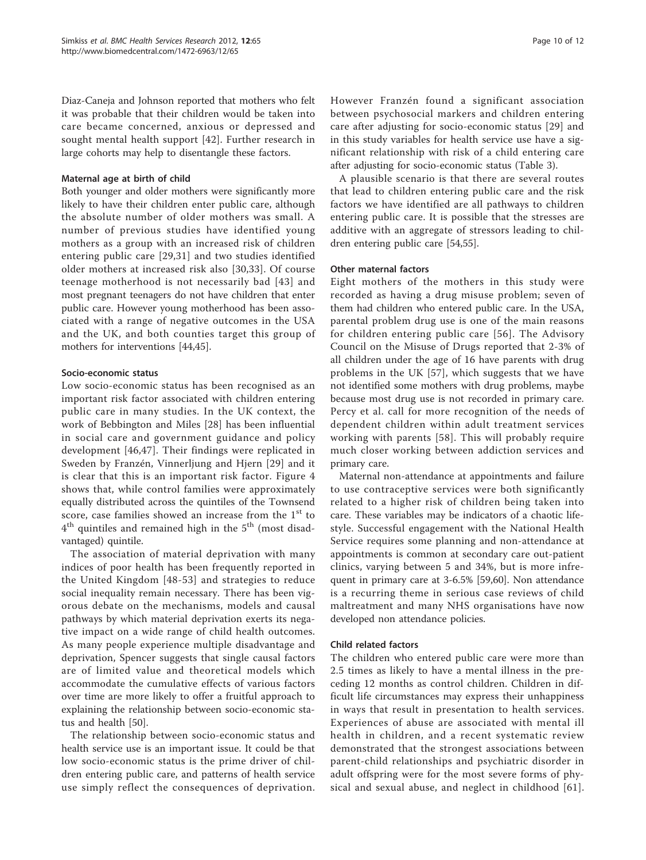Diaz-Caneja and Johnson reported that mothers who felt it was probable that their children would be taken into care became concerned, anxious or depressed and sought mental health support [[42\]](#page-12-0). Further research in large cohorts may help to disentangle these factors.

## Maternal age at birth of child

Both younger and older mothers were significantly more likely to have their children enter public care, although the absolute number of older mothers was small. A number of previous studies have identified young mothers as a group with an increased risk of children entering public care [[29,31](#page-12-0)] and two studies identified older mothers at increased risk also [[30,33\]](#page-12-0). Of course teenage motherhood is not necessarily bad [[43](#page-12-0)] and most pregnant teenagers do not have children that enter public care. However young motherhood has been associated with a range of negative outcomes in the USA and the UK, and both counties target this group of mothers for interventions [[44,45\]](#page-12-0).

## Socio-economic status

Low socio-economic status has been recognised as an important risk factor associated with children entering public care in many studies. In the UK context, the work of Bebbington and Miles [[28\]](#page-12-0) has been influential in social care and government guidance and policy development [[46,47](#page-12-0)]. Their findings were replicated in Sweden by Franzén, Vinnerljung and Hjern [[29\]](#page-12-0) and it is clear that this is an important risk factor. Figure [4](#page-7-0) shows that, while control families were approximately equally distributed across the quintiles of the Townsend score, case families showed an increase from the  $1<sup>st</sup>$  to  $4<sup>th</sup>$  quintiles and remained high in the  $5<sup>th</sup>$  (most disadvantaged) quintile.

The association of material deprivation with many indices of poor health has been frequently reported in the United Kingdom [[48](#page-12-0)-[53](#page-12-0)] and strategies to reduce social inequality remain necessary. There has been vigorous debate on the mechanisms, models and causal pathways by which material deprivation exerts its negative impact on a wide range of child health outcomes. As many people experience multiple disadvantage and deprivation, Spencer suggests that single causal factors are of limited value and theoretical models which accommodate the cumulative effects of various factors over time are more likely to offer a fruitful approach to explaining the relationship between socio-economic status and health [[50\]](#page-12-0).

The relationship between socio-economic status and health service use is an important issue. It could be that low socio-economic status is the prime driver of children entering public care, and patterns of health service use simply reflect the consequences of deprivation. However Franzén found a significant association between psychosocial markers and children entering care after adjusting for socio-economic status [\[29\]](#page-12-0) and in this study variables for health service use have a significant relationship with risk of a child entering care after adjusting for socio-economic status (Table [3](#page-9-0)).

A plausible scenario is that there are several routes that lead to children entering public care and the risk factors we have identified are all pathways to children entering public care. It is possible that the stresses are additive with an aggregate of stressors leading to children entering public care [[54,55\]](#page-12-0).

## Other maternal factors

Eight mothers of the mothers in this study were recorded as having a drug misuse problem; seven of them had children who entered public care. In the USA, parental problem drug use is one of the main reasons for children entering public care [[56\]](#page-12-0). The Advisory Council on the Misuse of Drugs reported that 2-3% of all children under the age of 16 have parents with drug problems in the UK [\[57\]](#page-12-0), which suggests that we have not identified some mothers with drug problems, maybe because most drug use is not recorded in primary care. Percy et al. call for more recognition of the needs of dependent children within adult treatment services working with parents [[58](#page-12-0)]. This will probably require much closer working between addiction services and primary care.

Maternal non-attendance at appointments and failure to use contraceptive services were both significantly related to a higher risk of children being taken into care. These variables may be indicators of a chaotic lifestyle. Successful engagement with the National Health Service requires some planning and non-attendance at appointments is common at secondary care out-patient clinics, varying between 5 and 34%, but is more infrequent in primary care at 3-6.5% [[59,60](#page-12-0)]. Non attendance is a recurring theme in serious case reviews of child maltreatment and many NHS organisations have now developed non attendance policies.

# Child related factors

The children who entered public care were more than 2.5 times as likely to have a mental illness in the preceding 12 months as control children. Children in difficult life circumstances may express their unhappiness in ways that result in presentation to health services. Experiences of abuse are associated with mental ill health in children, and a recent systematic review demonstrated that the strongest associations between parent-child relationships and psychiatric disorder in adult offspring were for the most severe forms of physical and sexual abuse, and neglect in childhood [[61](#page-12-0)].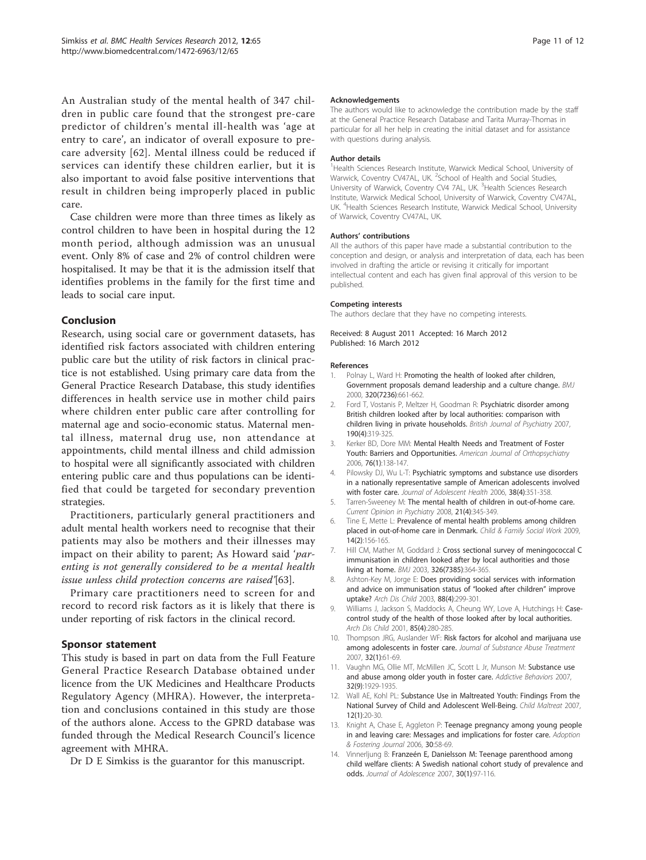<span id="page-11-0"></span>An Australian study of the mental health of 347 children in public care found that the strongest pre-care predictor of children's mental ill-health was 'age at entry to care', an indicator of overall exposure to precare adversity [[62](#page-12-0)]. Mental illness could be reduced if services can identify these children earlier, but it is also important to avoid false positive interventions that result in children being improperly placed in public care.

Case children were more than three times as likely as control children to have been in hospital during the 12 month period, although admission was an unusual event. Only 8% of case and 2% of control children were hospitalised. It may be that it is the admission itself that identifies problems in the family for the first time and leads to social care input.

## Conclusion

Research, using social care or government datasets, has identified risk factors associated with children entering public care but the utility of risk factors in clinical practice is not established. Using primary care data from the General Practice Research Database, this study identifies differences in health service use in mother child pairs where children enter public care after controlling for maternal age and socio-economic status. Maternal mental illness, maternal drug use, non attendance at appointments, child mental illness and child admission to hospital were all significantly associated with children entering public care and thus populations can be identified that could be targeted for secondary prevention strategies.

Practitioners, particularly general practitioners and adult mental health workers need to recognise that their patients may also be mothers and their illnesses may impact on their ability to parent; As Howard said 'parenting is not generally considered to be a mental health issue unless child protection concerns are raised'[[63](#page-12-0)].

Primary care practitioners need to screen for and record to record risk factors as it is likely that there is under reporting of risk factors in the clinical record.

## Sponsor statement

This study is based in part on data from the Full Feature General Practice Research Database obtained under licence from the UK Medicines and Healthcare Products Regulatory Agency (MHRA). However, the interpretation and conclusions contained in this study are those of the authors alone. Access to the GPRD database was funded through the Medical Research Council's licence agreement with MHRA.

Dr D E Simkiss is the guarantor for this manuscript.

#### Acknowledgements

The authors would like to acknowledge the contribution made by the staff at the General Practice Research Database and Tarita Murray-Thomas in particular for all her help in creating the initial dataset and for assistance with questions during analysis.

#### Author details

<sup>1</sup>Health Sciences Research Institute, Warwick Medical School, University of Warwick, Coventry CV47AL, UK. <sup>2</sup>School of Health and Social Studies, University of Warwick, Coventry CV4 7AL, UK. <sup>3</sup>Health Sciences Research Institute, Warwick Medical School, University of Warwick, Coventry CV47AL, UK. <sup>4</sup>Health Sciences Research Institute, Warwick Medical School, University of Warwick, Coventry CV47AL, UK.

#### Authors' contributions

All the authors of this paper have made a substantial contribution to the conception and design, or analysis and interpretation of data, each has been involved in drafting the article or revising it critically for important intellectual content and each has given final approval of this version to be published.

#### Competing interests

The authors declare that they have no competing interests.

Received: 8 August 2011 Accepted: 16 March 2012 Published: 16 March 2012

#### References

- 1. Polnay L, Ward H: [Promoting the health of looked after children,](http://www.ncbi.nlm.nih.gov/pubmed/10710557?dopt=Abstract) [Government proposals demand leadership and a culture change.](http://www.ncbi.nlm.nih.gov/pubmed/10710557?dopt=Abstract) BMJ 2000, 320(7236):661-662.
- Ford T, Vostanis P, Meltzer H, Goodman R: [Psychiatric disorder among](http://www.ncbi.nlm.nih.gov/pubmed/17401038?dopt=Abstract) [British children looked after by local authorities: comparison with](http://www.ncbi.nlm.nih.gov/pubmed/17401038?dopt=Abstract) [children living in private households.](http://www.ncbi.nlm.nih.gov/pubmed/17401038?dopt=Abstract) British Journal of Psychiatry 2007, 190(4):319-325.
- 3. Kerker BD, Dore MM: [Mental Health Needs and Treatment of Foster](http://www.ncbi.nlm.nih.gov/pubmed/16569139?dopt=Abstract) [Youth: Barriers and Opportunities.](http://www.ncbi.nlm.nih.gov/pubmed/16569139?dopt=Abstract) American Journal of Orthopsychiatry 2006, 76(1):138-147.
- 4. Pilowsky DJ, Wu L-T: [Psychiatric symptoms and substance use disorders](http://www.ncbi.nlm.nih.gov/pubmed/16549295?dopt=Abstract) [in a nationally representative sample of American adolescents involved](http://www.ncbi.nlm.nih.gov/pubmed/16549295?dopt=Abstract) [with foster care.](http://www.ncbi.nlm.nih.gov/pubmed/16549295?dopt=Abstract) Journal of Adolescent Health 2006, 38(4):351-358.
- 5. Tarren-Sweeney M: [The mental health of children in out-of-home care.](http://www.ncbi.nlm.nih.gov/pubmed/18520738?dopt=Abstract) Current Opinion in Psychiatry 2008, 21(4):345-349.
- 6. Tine E, Mette L: [Prevalence of mental health problems among children](http://www.ncbi.nlm.nih.gov/pubmed/22454768?dopt=Abstract) [placed in out-of-home care in Denmark.](http://www.ncbi.nlm.nih.gov/pubmed/22454768?dopt=Abstract) Child & Family Social Work 2009, 14(2):156-165.
- 7. Hill CM, Mather M, Goddard J: [Cross sectional survey of meningococcal C](http://www.ncbi.nlm.nih.gov/pubmed/12586668?dopt=Abstract) [immunisation in children looked after by local authorities and those](http://www.ncbi.nlm.nih.gov/pubmed/12586668?dopt=Abstract) [living at home.](http://www.ncbi.nlm.nih.gov/pubmed/12586668?dopt=Abstract) BMJ 2003, 326(7385):364-365.
- 8. Ashton-Key M, Jorge E: [Does providing social services with information](http://www.ncbi.nlm.nih.gov/pubmed/12651751?dopt=Abstract) [and advice on immunisation status of](http://www.ncbi.nlm.nih.gov/pubmed/12651751?dopt=Abstract) "looked after children" improve [uptake?](http://www.ncbi.nlm.nih.gov/pubmed/12651751?dopt=Abstract) Arch Dis Child 2003, 88(4):299-301.
- 9. Williams J, Jackson S, Maddocks A, Cheung WY, Love A, Hutchings H: [Case](http://www.ncbi.nlm.nih.gov/pubmed/11567933?dopt=Abstract)[control study of the health of those looked after by local authorities.](http://www.ncbi.nlm.nih.gov/pubmed/11567933?dopt=Abstract) Arch Dis Child 2001, 85(4):280-285.
- 10. Thompson JRG, Auslander WF: [Risk factors for alcohol and marijuana use](http://www.ncbi.nlm.nih.gov/pubmed/17175399?dopt=Abstract) [among adolescents in foster care.](http://www.ncbi.nlm.nih.gov/pubmed/17175399?dopt=Abstract) Journal of Substance Abuse Treatment 2007, 32(1):61-69.
- 11. Vaughn MG, Ollie MT, McMillen JC, Scott L Jr, Munson M: [Substance use](http://www.ncbi.nlm.nih.gov/pubmed/17239547?dopt=Abstract) [and abuse among older youth in foster care.](http://www.ncbi.nlm.nih.gov/pubmed/17239547?dopt=Abstract) Addictive Behaviors 2007, 32(9):1929-1935.
- 12. Wall AE, Kohl PL: [Substance Use in Maltreated Youth: Findings From the](http://www.ncbi.nlm.nih.gov/pubmed/17218645?dopt=Abstract) [National Survey of Child and Adolescent Well-Being.](http://www.ncbi.nlm.nih.gov/pubmed/17218645?dopt=Abstract) Child Maltreat 2007, 12(1):20-30.
- 13. Knight A, Chase E, Aggleton P: [Teenage pregnancy among young people](http://www.ncbi.nlm.nih.gov/pubmed/22454611?dopt=Abstract) [in and leaving care: Messages and implications for foster care.](http://www.ncbi.nlm.nih.gov/pubmed/22454611?dopt=Abstract) Adoption & Fostering Journal 2006, 30:58-69.
- 14. Vinnerljung B: [Franzeén E, Danielsson M: Teenage parenthood among](http://www.ncbi.nlm.nih.gov/pubmed/16455132?dopt=Abstract) [child welfare clients: A Swedish national cohort study of prevalence and](http://www.ncbi.nlm.nih.gov/pubmed/16455132?dopt=Abstract) [odds.](http://www.ncbi.nlm.nih.gov/pubmed/16455132?dopt=Abstract) Journal of Adolescence 2007, 30(1):97-116.